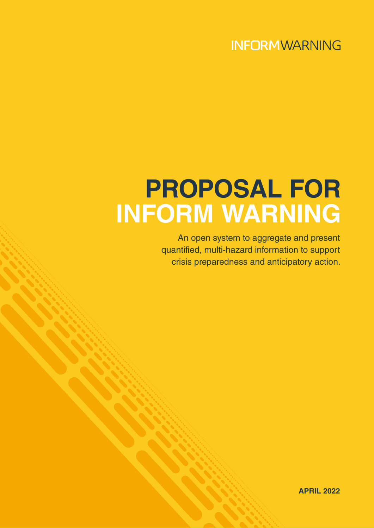## **INFORMWARNING**

# **PROPOSAL FOR INFORM WARNING**

An open system to aggregate and present quantified, multi-hazard information to support crisis preparedness and anticipatory action.

**APRIL 2022**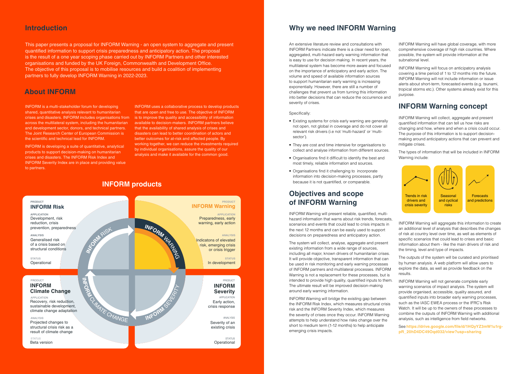### **INFORM products**



This paper presents a proposal for INFORM Warning - an open system to aggregate and present quantified information to support crisis preparedness and anticipatory action. The proposal is the result of a one year scoping phase carried out by INFORM Partners and other interested organisations and funded by the UK Foreign, Commonwealth and Development Office. The objective of this proposal is to mobilise resources and build a coalition of implementing partners to fully develop INFORM Warning in 2022-2023.

An extensive literature review and consultations with INFORM Partners indicate there is a clear need for open, aggregated, multi-hazard early warning information that is easy to use for decision making. In recent years, the multilateral system has become more aware and focused on the importance of anticipatory and early action. The volume and speed of available information sources to support humanitarian early warning is increasing exponentially. However, there are still a number of challenges that prevent us from turning this information into better decisions that can reduce the occurrence and severity of crises.

### Specifically:

- Existing systems for crisis early warning are generally not open, not global in coverage and do not cover all relevant risk drivers (i.e not 'multi-hazard' or 'multisector').
- They are cost and time intensive for organisations to collect and analyse information from different sources.
- Organisations find it difficult to identify the best and most timely, reliable information and sources.
- Organisations find it challenging to incorporate information into decision-making processes, partly because it is not quantified, or comparable.

### **Objectives and scope of INFORM Warning**

INFORM Warning will present reliable, quantified, multihazard information that warns about risk trends, forecasts, scenarios and events that could lead to crisis impacts in the next 12 months and can be easily used to support decisions on preparedness and anticipatory action.

The system will collect, analyse, aggregate and present existing information from a wide range of sources, including all major, known drivers of humanitarian crises. It will provide objective, transparent information that can be used in risk monitoring and early warning processes of INFORM partners and multilateral processes. INFORM Warning is not a replacement for these processes, but is intended to provide high quality, quantified inputs to them. The ultimate result will be improved decision-making around early warning information.

INFORM Warning will bridge the existing gap between the INFORM Risk Index, which measures structural crisis risk and the INFORM Severity Index, which measures the severity of crises once they occur. INFORM Warning attempts to help understand how risks change over the short to medium term (1-12 months) to help anticipate emerging crisis impacts.

INFORM Warning will have global coverage, with more comprehensive coverage of high risk countries. Where possible, the system will provide information at the subnational level.

INFORM Warning will focus on anticipatory analysis covering a time period of 1 to 12 months into the future. INFORM Warning will not include information or issue alerts about short-term, forecasted events (e.g. tsunami, tropical storms etc.). Other systems already exist for this purpose.

### **INFORM Warning concept**

INFORM Warning will collect, aggregate and present quantified information that can tell us how risks are changing and how, where and when a crisis could occur. The purpose of this information is to support decisionmaking around anticipatory actions that can prevent and mitigate crises.

The types of information that will be included in INFORM Warning include:

INFORM Warning will aggregate this information to create an additional level of analysis that describes the changes of risk at country level over time, as well as elements of specific scenarios that could lead to crises and basic information about them - like the main drivers of risk and the timing, level and type of impacts.

The outputs of the system will be curated and prioritised by human analysis. A web platform will allow users to explore the data, as well as provide feedback on the results.

INFORM Warning will not generate complete early warning scenarios of impact analysis. The system will provide organised, accessible, quality assured, and quantified inputs into broader early warning processes, such as the IASC EWEA process or the IFRC's Risk Watch. It will be up to the owners of these processes to combine the outputs of INFORM Warning with additional analysis, such as intelligence from field networks.

See **[https://drive.google.com/file/d/1HQyYZ3mW1u1rg](https://drive.google.com/file/d/1HQyYZ3mW1u1rg-pR_20hD4DC49Oqd032/view?usp=sharing)[pR\\_20hD4DC49Oqd032/view?usp=sharing](https://drive.google.com/file/d/1HQyYZ3mW1u1rg-pR_20hD4DC49Oqd032/view?usp=sharing)**

INFORM is a multi-stakeholder forum for developing shared, quantitative analysis relevant to humanitarian crises and disasters. INFORM includes organisations from across the multilateral system, including the humanitarian and development sector, donors, and technical partners. The Joint Research Center of European Commission is the scientific and technical lead for INFORM.

INFORM is developing a suite of quantitative, analytical products to support decision-making on humanitarian crises and disasters. The INFORM Risk Index and INFORM Severity Index are in place and providing value to partners.

INFORM uses a collaborative process to develop products that are open and free to use. The objective of INFORM is to improve the quality and accessibility of information available to decision-makers. INFORM partners believe that the availability of shared analysis of crises and disasters can lead to better coordination of actors and better outcomes for at-risk and affected people. By working together, we can reduce the investments required by individual organisations, assure the quality of our analysis and make it available for the common good.

### **About INFORM**

### **Introduction Why we need INFORM Warning**

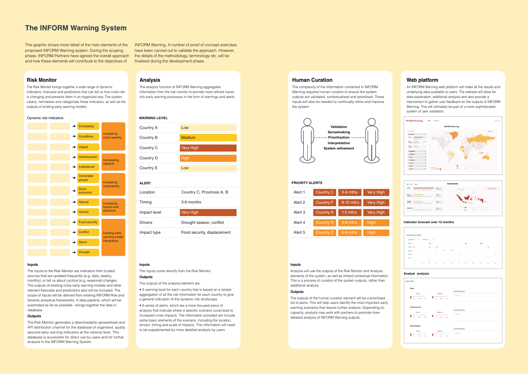### **Risk Monitor**

The Risk Monitor brings together a wide range of dynamic indicators, forecasts and predictions that can tell us how crisis risk is changing and presents them in an organised way. The system cleans, normalises and categorises these indicators, as well as the outputs of existing early warning models.

#### **Inputs**

The inputs to the Risk Monitor are indicators from trusted sources that are updated frequently (e.g. daily, weekly, monthly), or tell us about cyclical (e.g. seasonal) changes. The outputs of existing crisis early warning models and other relevant forecasts and predictions also will be included. The scope of inputs will be derived from existing INFORM Risk and Severity analytical frameworks. A data pipeline, which will be automated as far as possible - brings together the data in database.

### **Outputs**

The Risk Monitor generates a downloadable spreadsheet and API distribution channel for the database of organised, quality assured early warning indicators at the national level. This database is accessible for direct use by users and for further analysis in the INFORM Warning System.

### **Analysis**

The analysis function of INFORM Warning aggregates information from the risk monitor to provide more refined inputs into early warning processes in the form of warnings and alerts.

#### **Inputs**

The inputs come directly from the Risk Monitor.

### **Outputs**

The outputs of the analysis element are:

• A warning level for each country that is based on a simple aggregation of all the risk information for each country to give a general indication of the dynamic risk landscape.

• A series of alerts, which are a more focused piece of analysis that indicate where a specific scenario could lead to increased crisis impacts. The information provided will include some basic elements of the scenario, including the location, drivers, timing and scale of impacts. This information will need to be supplemented by more detailed analysis by users.

### **Human Curation**

The complexity of the information contained in INFORM Warning requires human curation to ensure the system outputs are validated, contextualised and prioritised. These inputs will also be needed to continually refine and improve the system.

### **Inputs**

Analysis will use the outputs of the Risk Monitor and Analysis elements of the system, as well as limited contextual information. This is a process of curation of the system outputs, rather than additional analysis.

### **Outputs**

The outputs of the human curation element will be a prioritised list of alerts. This will help users identify the most important early warning scenarios that require further analysis. Depending on capacity, analysts may work with partners to promote more detailed analysis of INFORM Warning outputs.

### **Web platform**

An INFORM Warning web platform will make all the results and underlying data available to users. The website will allow for data exploration, additional analysis and also provide a mechanism to gather user feedback on the outputs of INFORM Warning. This will ultimately be part of a more sophisticated system of user validation.





| Country A      | Low                         |
|----------------|-----------------------------|
| Country B      | Medium                      |
| Country C      | <b>Very High</b>            |
| Country D      | <b>High</b>                 |
| Country E      | Low                         |
| <b>ALERT</b>   |                             |
| Location       | Country C, Provinces A, B   |
| Timing         | 3-6 months                  |
| Impact level   | <b>Very High</b>            |
| <b>Drivers</b> | Drought season, conflict    |
| Impact type    | Food security, displacement |
|                |                             |

### **WARNING LEVEL**

#### **PRIORITY ALERTS**

### **Indicator forecast over 12 months**



#### **Analyst analysis**





| Alert 1 | Country C        | $3-6$ mths  | Very High        |
|---------|------------------|-------------|------------------|
| Alert 2 | <b>Country F</b> | $9-12$ mths | <b>Very High</b> |
| Alert 3 | <b>Country K</b> | $1-3$ mths  | <b>Very High</b> |
| Alert 4 | <b>Country R</b> | 3-6 mths    | High             |
| Alert 5 | Country Z        | $6-9$ mths  | <b>High</b>      |



#### Dynamic risk indicators

### **The INFORM Warning System**

This graphic shows more detail of the main elements of the proposed INFORM Warning system. During the scoping phase, INFORM Partners have agreed the overall approach and how these elements will contribute to the objectives of

INFORM Warning. A number of proof of concept exercises have been carried out to validate the approach. However, the details of the methodology, terminology etc. will be finalised during the development phase.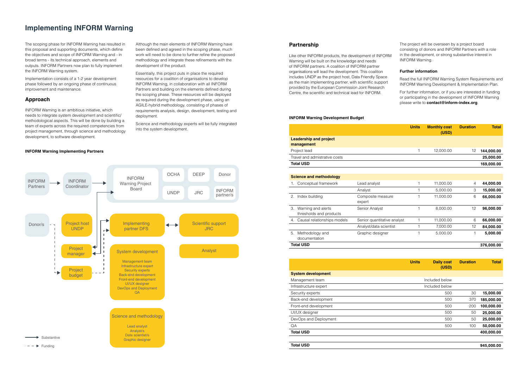The scoping phase for INFORM Warning has resulted in this proposal and supporting documents, which define the objectives and scope of INFORM Warning and - in broad terms - its technical approach, elements and outputs. INFORM Partners now plan to fully implement the INFORM Warning system.

Implementation consists of a 1-2 year development phase followed by an ongoing phase of continuous improvement and maintenance.

### **Approach**

INFORM Warning is an ambitious initiative, which needs to integrate system development and scientific/ methodological aspects. This will be done by building a team of experts across the required competencies from project management, through science and methodology development, to software development.

Although the main elements of INFORM Warning have been defined and agreed in the scoping phase, much work will need to be done to further refine the proposed methodology and integrate these refinements with the development of the product.

Essentially, this project puts in place the required resources for a coalition of organisations to develop INFORM Warning, in collaboration with all INFORM Partners and building on the elements defined during the scoping phase. These resources will be deployed as required during the development phase, using an AGILE-hybrid methodology, consisting of phases of requirements analysis, design, development, testing and deployment.

Science and methodology experts will be fully integrated into the system development.

### **Implementing INFORM Warning**

|                                                     |                             | <b>Units</b> | <b>Monthly cost</b><br>(USD) | <b>Duration</b> | <b>Total</b> |
|-----------------------------------------------------|-----------------------------|--------------|------------------------------|-----------------|--------------|
| <b>Leadership and project</b><br>management         |                             |              |                              |                 |              |
| Project lead                                        |                             |              | 12,000.00                    | 12              | 144,000.00   |
| Travel and admistrative costs                       |                             |              |                              |                 | 25,000.00    |
| <b>Total USD</b>                                    |                             |              |                              |                 | 169,000.00   |
|                                                     |                             |              |                              |                 |              |
| <b>Science and methodology</b>                      |                             |              |                              |                 |              |
| Conceptual framework<br>1.                          | Lead analyst                |              | 11,000.00                    | 4               | 44,000.00    |
|                                                     | Analyst                     |              | 5,000.00                     | 3               | 15,000.00    |
| Index building<br>2.                                | Composite measure<br>expert |              | 11,000.00                    | 6               | 66,000.00    |
| Warning and alerts<br>3.<br>thresholds and products | Senior Analyst              |              | 8,000.00                     | 12              | 96,000.00    |
| Causal relationships models<br>4.                   | Senior quantitative analyst | 1            | 11,000.00                    | 6               | 66,000.00    |
|                                                     | Analyst/data scientist      |              | 7,000.00                     | 12              | 84,000.00    |
| Methodology and<br>5.<br>documentation              | Graphic designer            | 1            | 5,000.00                     |                 | 5,000.00     |

|    |                                               |                             | <b>Units</b> | <b>Monthly cost</b><br>(USD) | <b>Duration</b> | <b>Total</b> |
|----|-----------------------------------------------|-----------------------------|--------------|------------------------------|-----------------|--------------|
|    | <b>Leadership and project</b><br>management   |                             |              |                              |                 |              |
|    | Project lead                                  |                             |              | 12,000.00                    | 12              | 144,000.00   |
|    | Travel and admistrative costs                 |                             |              |                              |                 | 25,000.00    |
|    | <b>Total USD</b>                              |                             |              |                              |                 | 169,000.00   |
|    |                                               |                             |              |                              |                 |              |
|    | <b>Science and methodology</b>                |                             |              |                              |                 |              |
| 1. | Conceptual framework                          | Lead analyst                | 1            | 11,000.00                    | 4               | 44,000.00    |
|    |                                               | Analyst                     |              | 5,000.00                     | З               | 15,000.00    |
| 2. | Index building                                | Composite measure<br>expert |              | 11,000.00                    | 6               | 66,000.00    |
| 3. | Warning and alerts<br>thresholds and products | Senior Analyst              |              | 8,000.00                     | 12              | 96,000.00    |
| 4. | Causal relationships models                   | Senior quantitative analyst | 1            | 11,000.00                    | 6               | 66,000.00    |
|    |                                               | Analyst/data scientist      |              | 7,000.00                     | 12              | 84,000.00    |
| 5. | Methodology and<br>documentation              | Graphic designer            |              | 5,000.00                     |                 | 5,000.00     |
|    | <b>Total USD</b>                              |                             |              |                              |                 | 376,000.00   |

|                           | <b>Units</b><br><b>Daily cost</b><br>(USD) | <b>Duration</b> | <b>Total</b> |
|---------------------------|--------------------------------------------|-----------------|--------------|
| <b>System development</b> |                                            |                 |              |
| Management team           | Included below                             |                 |              |
| Infrastructure expert     | Included below                             |                 |              |
| Security experts          | 500                                        | 30              | 15,000.00    |
| Back-end development      | 500                                        | 370             | 185,000.00   |
| Front-end development     | 500                                        | 200             | 100,000.00   |
| UI/UX designer            | 500                                        | 50              | 25,000.00    |
| DevOps and Deployment     | 500                                        | 50              | 25,000.00    |
| QA                        | 500                                        | 100             | 50,000.00    |
| <b>Total USD</b>          |                                            |                 | 400,000.00   |
|                           |                                            |                 |              |
| <b>Total USD</b>          |                                            |                 | 945,000.00   |



### **Partnership**

Like other INFORM products, the development of INFORM Warning will be built on the knowledge and needs of INFORM partners. A coalition of INFORM partner organisations will lead the development. This coalition includes UNDP as the project host, Data Friendly Space as the main implementing partner, with scientific support provided by the European Commission Joint Research Centre, the scientific and technical lead for INFORM.

The project will be overseen by a project board consisting of donors and INFORM Partners with a role in the development, or strong substantive interest in INFORM Warning.

### **Further information**

Read the full INFORM Warning System Requirements and INFORM Warning Development & Implementation Plan.

For further information, or if you are interested in funding or participating in the development of INFORM Warning please write to **contact@inform-index.org**.

### **INFORM Warning Implementing Partners**

#### **INFORM Warning Development Budget**